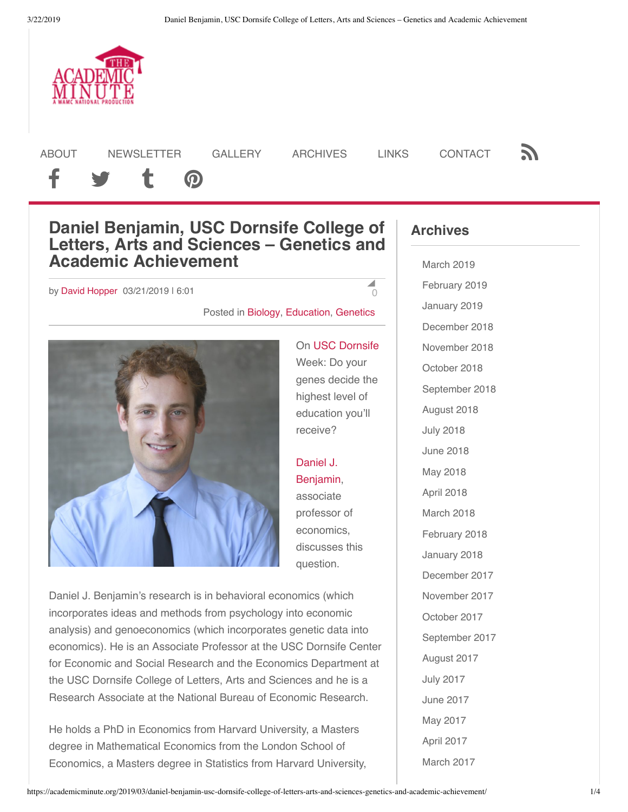

[ABOUT](https://academicminute.org/about/) [NEWSLETTER](http://wamc.us11.list-manage.com/subscribe?u=3316f5c01f776eff2089cf545&id=31ef40698a) [GALLERY](https://academicminute.org/photo-gallery/) [ARCHIVES](http://wamc.org/programs/academic-minute) LINKS [CONTACT](https://academicminute.org/contact/) **N** 

# f y t @

## **Daniel Benjamin, USC Dornsife College of Letters, Arts and Sciences – Genetics and Academic Achievement**

### by [David Hopper](https://academicminute.org/author/david/) 03/21/2019 | 6:01

#### $\blacktriangle$ [0](#page-2-0)

Posted in [Biology,](https://academicminute.org/category/biology/) [Education](https://academicminute.org/category/education-2/), [Genetics](https://academicminute.org/category/biology/genetics-biology/)



Week: Do your genes decide the highest level of education you'll receive?

On [USC Dornsife](https://dornsife.usc.edu/)

Daniel J. [Benjamin,](https://dornsife.usc.edu/cf/faculty-and-staff/faculty.cfm?pid=1058546) associate professor of economics, discusses this question.

Daniel J. Benjamin's research is in behavioral economics (which incorporates ideas and methods from psychology into economic analysis) and genoeconomics (which incorporates genetic data into economics). He is an Associate Professor at the USC Dornsife Center for Economic and Social Research and the Economics Department at the USC Dornsife College of Letters, Arts and Sciences and he is a Research Associate at the National Bureau of Economic Research.

He holds a PhD in Economics from Harvard University, a Masters degree in Mathematical Economics from the London School of Economics, a Masters degree in Statistics from Harvard University,

## **Archives**

[March 2019](https://academicminute.org/2019/03/) [February 2019](https://academicminute.org/2019/02/) [January 2019](https://academicminute.org/2019/01/) [December 2018](https://academicminute.org/2018/12/) [November 2018](https://academicminute.org/2018/11/) [October 2018](https://academicminute.org/2018/10/) [September 2018](https://academicminute.org/2018/09/) [August 2018](https://academicminute.org/2018/08/) [July 2018](https://academicminute.org/2018/07/) [June 2018](https://academicminute.org/2018/06/) [May 2018](https://academicminute.org/2018/05/) [April 2018](https://academicminute.org/2018/04/) [March 2018](https://academicminute.org/2018/03/) [February 2018](https://academicminute.org/2018/02/) [January 2018](https://academicminute.org/2018/01/) [December 2017](https://academicminute.org/2017/12/) [November 2017](https://academicminute.org/2017/11/) [October 2017](https://academicminute.org/2017/10/) [September 2017](https://academicminute.org/2017/09/) [August 2017](https://academicminute.org/2017/08/) [July 2017](https://academicminute.org/2017/07/) [June 2017](https://academicminute.org/2017/06/) [May 2017](https://academicminute.org/2017/05/) [April 2017](https://academicminute.org/2017/04/) [March 2017](https://academicminute.org/2017/03/)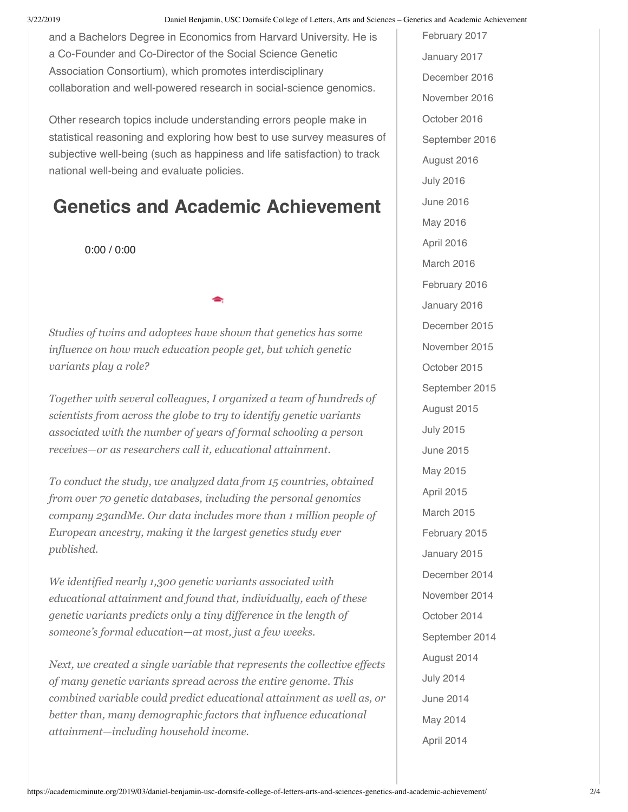3/22/2019 Daniel Benjamin, USC Dornsife College of Letters, Arts and Sciences – Genetics and Academic Achievement

and a Bachelors Degree in Economics from Harvard University. He is a Co-Founder and Co-Director of the Social Science Genetic Association Consortium), which promotes interdisciplinary collaboration and well-powered research in social-science genomics.

Other research topics include understanding errors people make in statistical reasoning and exploring how best to use survey measures of subjective well-being (such as happiness and life satisfaction) to track national well-being and evaluate policies.

## **Genetics and Academic Achievement**

*Studies of twins and adoptees have shown that genetics has some influence on how much education people get, but which genetic variants play a role?*

*Together with several colleagues, I organized a team of hundreds of scientists from across the globe to try to identify genetic variants associated with the number of years of formal schooling a person receives—or as researchers call it, educational attainment.*

*To conduct the study, we analyzed data from 15 countries, obtained from over 70 genetic databases, including the personal genomics company 23andMe. Our data includes more than 1 million people of European ancestry, making it the largest genetics study ever published.*

*We identified nearly 1,300 genetic variants associated with educational attainment and found that, individually, each of these genetic variants predicts only a tiny difference in the length of someone's formal education—at most, just a few weeks.*

*Next, we created a single variable that represents the collective effects of many genetic variants spread across the entire genome. This combined variable could predict educational attainment as well as, or better than, many demographic factors that influence educational attainment—including household income.* [April 2014](https://academicminute.org/2014/04/) 0:00 / 0:00

[February 2017](https://academicminute.org/2017/02/) [January 2017](https://academicminute.org/2017/01/) [December 2016](https://academicminute.org/2016/12/) [November 2016](https://academicminute.org/2016/11/) [October 2016](https://academicminute.org/2016/10/) [September 2016](https://academicminute.org/2016/09/) [August 2016](https://academicminute.org/2016/08/) [July 2016](https://academicminute.org/2016/07/) [June 2016](https://academicminute.org/2016/06/) [May 2016](https://academicminute.org/2016/05/) [April 2016](https://academicminute.org/2016/04/) [March 2016](https://academicminute.org/2016/03/) [February 2016](https://academicminute.org/2016/02/) [January 2016](https://academicminute.org/2016/01/) [December 2015](https://academicminute.org/2015/12/) [November 2015](https://academicminute.org/2015/11/) [October 2015](https://academicminute.org/2015/10/) [September 2015](https://academicminute.org/2015/09/) [August 2015](https://academicminute.org/2015/08/) [July 2015](https://academicminute.org/2015/07/) [June 2015](https://academicminute.org/2015/06/) [May 2015](https://academicminute.org/2015/05/) [April 2015](https://academicminute.org/2015/04/) [March 2015](https://academicminute.org/2015/03/) [February 2015](https://academicminute.org/2015/02/) [January 2015](https://academicminute.org/2015/01/) [December 2014](https://academicminute.org/2014/12/) [November 2014](https://academicminute.org/2014/11/) [October 2014](https://academicminute.org/2014/10/) [September 2014](https://academicminute.org/2014/09/) [August 2014](https://academicminute.org/2014/08/) [July 2014](https://academicminute.org/2014/07/) [June 2014](https://academicminute.org/2014/06/) [May 2014](https://academicminute.org/2014/05/)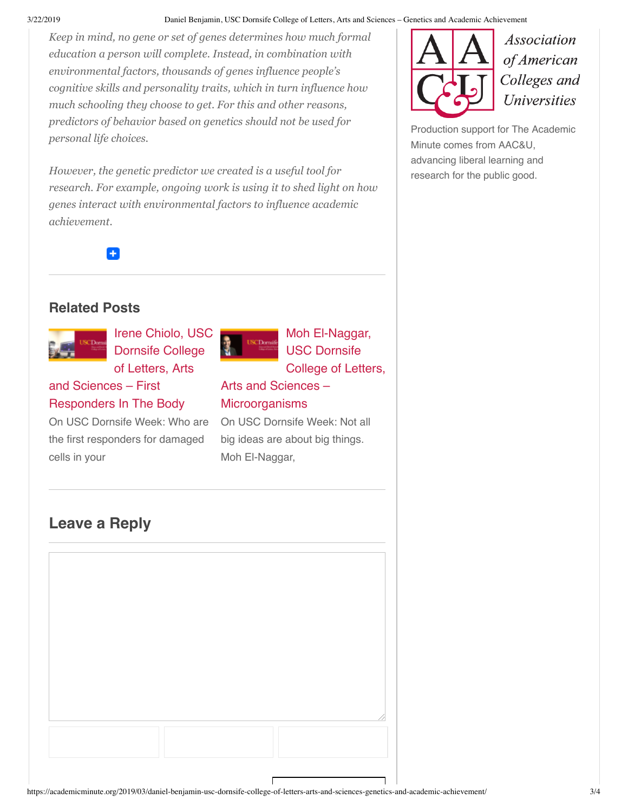#### 3/22/2019 Daniel Benjamin, USC Dornsife College of Letters, Arts and Sciences – Genetics and Academic Achievement

*Keep in mind, no gene or set of genes determines how much formal education a person will complete. Instead, in combination with environmental factors, thousands of genes influence people's cognitive skills and personality traits, which in turn influence how much schooling they choose to get. For this and other reasons, predictors of behavior based on genetics should not be used for personal life choices.*

*However, the genetic predictor we created is a useful tool for research. For example, ongoing work is using it to shed light on how genes interact with environmental factors to influence academic achievement.*

Ŧ

## **Related Posts**



Irene Chiolo, USC Dornsife College of Letters, Arts

## and Sciences – First [Responders In The Body](https://academicminute.org/2019/03/irene-chiolo-usc-dornsife-college-of-letters-arts-and-sciences-first-responders-in-the-body/)

On USC Dornsife Week: Who are the first responders for damaged cells in your



Moh El-Naggar, USC Dornsife College of Letters,

## [Arts and Sciences –](https://academicminute.org/2019/03/moh-el-naggar-usc-dornsife-college-of-letters-arts-and-sciences-microorganisms/) **Microorganisms**

On USC Dornsife Week: Not all big ideas are about big things. Moh El-Naggar,

## <span id="page-2-0"></span>**Leave a Reply**



**Association** of American Colleges and **Universities** 

[Production support for The Academic](https://www.aacu.org/) Minute comes from AAC&U, advancing liberal learning and research for the public good.